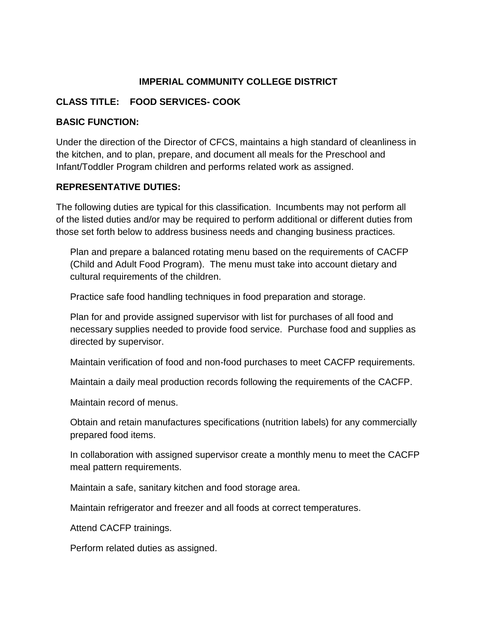# **IMPERIAL COMMUNITY COLLEGE DISTRICT**

## **CLASS TITLE: FOOD SERVICES- COOK**

#### **BASIC FUNCTION:**

Under the direction of the Director of CFCS, maintains a high standard of cleanliness in the kitchen, and to plan, prepare, and document all meals for the Preschool and Infant/Toddler Program children and performs related work as assigned.

### **REPRESENTATIVE DUTIES:**

The following duties are typical for this classification. Incumbents may not perform all of the listed duties and/or may be required to perform additional or different duties from those set forth below to address business needs and changing business practices.

Plan and prepare a balanced rotating menu based on the requirements of CACFP (Child and Adult Food Program). The menu must take into account dietary and cultural requirements of the children.

Practice safe food handling techniques in food preparation and storage.

Plan for and provide assigned supervisor with list for purchases of all food and necessary supplies needed to provide food service. Purchase food and supplies as directed by supervisor.

Maintain verification of food and non-food purchases to meet CACFP requirements.

Maintain a daily meal production records following the requirements of the CACFP.

Maintain record of menus.

Obtain and retain manufactures specifications (nutrition labels) for any commercially prepared food items.

In collaboration with assigned supervisor create a monthly menu to meet the CACFP meal pattern requirements.

Maintain a safe, sanitary kitchen and food storage area.

Maintain refrigerator and freezer and all foods at correct temperatures.

Attend CACFP trainings.

Perform related duties as assigned.